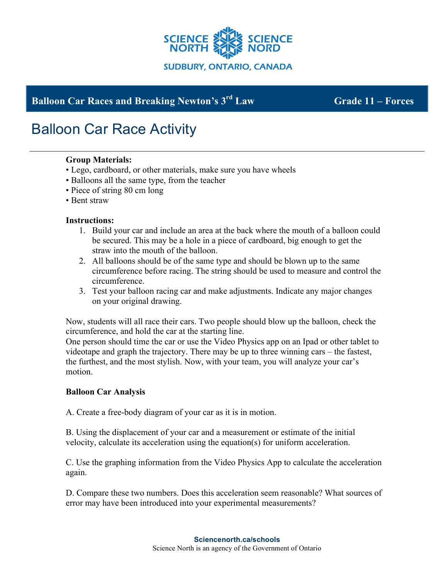

# **Balloon Car Races and Breaking Newton's 3rd Law Grade 11 – Forces**

# Balloon Car Race Activity

## **Group Materials:**

- Lego, cardboard, or other materials, make sure you have wheels
- Balloons all the same type, from the teacher
- Piece of string 80 cm long
- Bent straw

### **Instructions:**

- 1. Build your car and include an area at the back where the mouth of a balloon could be secured. This may be a hole in a piece of cardboard, big enough to get the straw into the mouth of the balloon.
- 2. All balloons should be of the same type and should be blown up to the same circumference before racing. The string should be used to measure and control the circumference.
- 3. Test your balloon racing car and make adjustments. Indicate any major changes on your original drawing.

Now, students will all race their cars. Two people should blow up the balloon, check the circumference, and hold the car at the starting line.

One person should time the car or use the Video Physics app on an Ipad or other tablet to videotape and graph the trajectory. There may be up to three winning cars – the fastest, the furthest, and the most stylish. Now, with your team, you will analyze your car's motion.

### **Balloon Car Analysis**

A. Create a free-body diagram of your car as it is in motion.

B. Using the displacement of your car and a measurement or estimate of the initial velocity, calculate its acceleration using the equation(s) for uniform acceleration.

C. Use the graphing information from the Video Physics App to calculate the acceleration again.

D. Compare these two numbers. Does this acceleration seem reasonable? What sources of error may have been introduced into your experimental measurements?